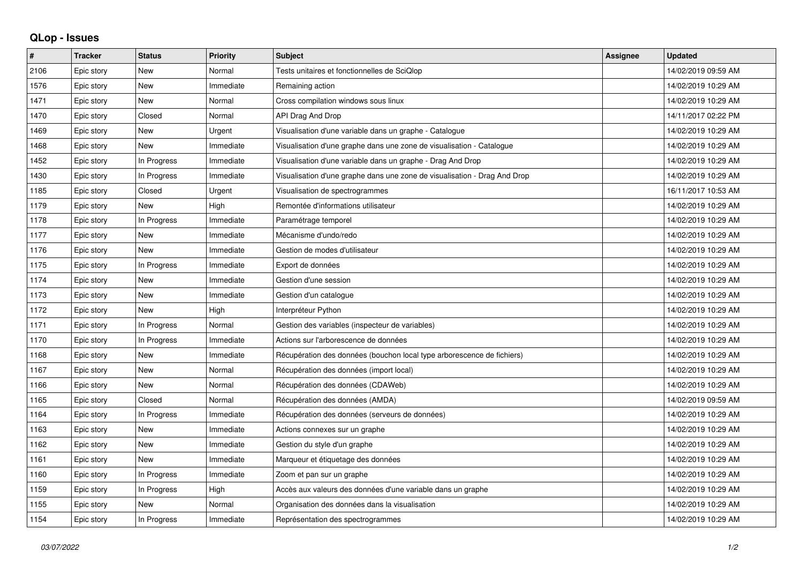## **QLop - Issues**

| #    | <b>Tracker</b> | <b>Status</b> | <b>Priority</b> | <b>Subject</b>                                                            | <b>Assignee</b> | <b>Updated</b>      |
|------|----------------|---------------|-----------------|---------------------------------------------------------------------------|-----------------|---------------------|
| 2106 | Epic story     | <b>New</b>    | Normal          | Tests unitaires et fonctionnelles de SciQlop                              |                 | 14/02/2019 09:59 AM |
| 1576 | Epic story     | <b>New</b>    | Immediate       | Remaining action                                                          |                 | 14/02/2019 10:29 AM |
| 1471 | Epic story     | <b>New</b>    | Normal          | Cross compilation windows sous linux                                      |                 | 14/02/2019 10:29 AM |
| 1470 | Epic story     | Closed        | Normal          | API Drag And Drop                                                         |                 | 14/11/2017 02:22 PM |
| 1469 | Epic story     | <b>New</b>    | Urgent          | Visualisation d'une variable dans un graphe - Catalogue                   |                 | 14/02/2019 10:29 AM |
| 1468 | Epic story     | <b>New</b>    | Immediate       | Visualisation d'une graphe dans une zone de visualisation - Catalogue     |                 | 14/02/2019 10:29 AM |
| 1452 | Epic story     | In Progress   | Immediate       | Visualisation d'une variable dans un graphe - Drag And Drop               |                 | 14/02/2019 10:29 AM |
| 1430 | Epic story     | In Progress   | Immediate       | Visualisation d'une graphe dans une zone de visualisation - Drag And Drop |                 | 14/02/2019 10:29 AM |
| 1185 | Epic story     | Closed        | Urgent          | Visualisation de spectrogrammes                                           |                 | 16/11/2017 10:53 AM |
| 1179 | Epic story     | <b>New</b>    | High            | Remontée d'informations utilisateur                                       |                 | 14/02/2019 10:29 AM |
| 1178 | Epic story     | In Progress   | Immediate       | Paramétrage temporel                                                      |                 | 14/02/2019 10:29 AM |
| 1177 | Epic story     | <b>New</b>    | Immediate       | Mécanisme d'undo/redo                                                     |                 | 14/02/2019 10:29 AM |
| 1176 | Epic story     | <b>New</b>    | Immediate       | Gestion de modes d'utilisateur                                            |                 | 14/02/2019 10:29 AM |
| 1175 | Epic story     | In Progress   | Immediate       | Export de données                                                         |                 | 14/02/2019 10:29 AM |
| 1174 | Epic story     | <b>New</b>    | Immediate       | Gestion d'une session                                                     |                 | 14/02/2019 10:29 AM |
| 1173 | Epic story     | <b>New</b>    | Immediate       | Gestion d'un catalogue                                                    |                 | 14/02/2019 10:29 AM |
| 1172 | Epic story     | <b>New</b>    | High            | Interpréteur Python                                                       |                 | 14/02/2019 10:29 AM |
| 1171 | Epic story     | In Progress   | Normal          | Gestion des variables (inspecteur de variables)                           |                 | 14/02/2019 10:29 AM |
| 1170 | Epic story     | In Progress   | Immediate       | Actions sur l'arborescence de données                                     |                 | 14/02/2019 10:29 AM |
| 1168 | Epic story     | <b>New</b>    | Immediate       | Récupération des données (bouchon local type arborescence de fichiers)    |                 | 14/02/2019 10:29 AM |
| 1167 | Epic story     | <b>New</b>    | Normal          | Récupération des données (import local)                                   |                 | 14/02/2019 10:29 AM |
| 1166 | Epic story     | <b>New</b>    | Normal          | Récupération des données (CDAWeb)                                         |                 | 14/02/2019 10:29 AM |
| 1165 | Epic story     | Closed        | Normal          | Récupération des données (AMDA)                                           |                 | 14/02/2019 09:59 AM |
| 1164 | Epic story     | In Progress   | Immediate       | Récupération des données (serveurs de données)                            |                 | 14/02/2019 10:29 AM |
| 1163 | Epic story     | <b>New</b>    | Immediate       | Actions connexes sur un graphe                                            |                 | 14/02/2019 10:29 AM |
| 1162 | Epic story     | <b>New</b>    | Immediate       | Gestion du style d'un graphe                                              |                 | 14/02/2019 10:29 AM |
| 1161 | Epic story     | <b>New</b>    | Immediate       | Marqueur et étiquetage des données                                        |                 | 14/02/2019 10:29 AM |
| 1160 | Epic story     | In Progress   | Immediate       | Zoom et pan sur un graphe                                                 |                 | 14/02/2019 10:29 AM |
| 1159 | Epic story     | In Progress   | High            | Accès aux valeurs des données d'une variable dans un graphe               |                 | 14/02/2019 10:29 AM |
| 1155 | Epic story     | <b>New</b>    | Normal          | Organisation des données dans la visualisation                            |                 | 14/02/2019 10:29 AM |
| 1154 | Epic story     | In Progress   | Immediate       | Représentation des spectrogrammes                                         |                 | 14/02/2019 10:29 AM |